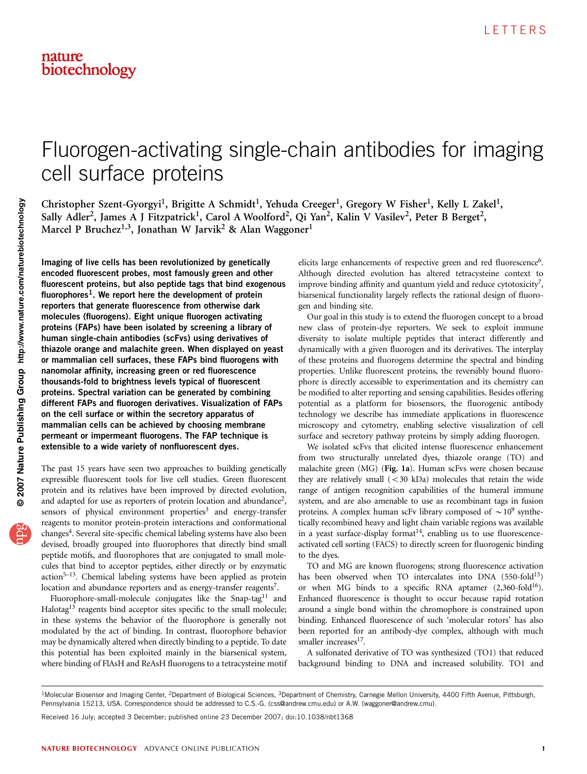# Fluorogen-activating single-chain antibodies for imaging cell surface proteins

Christopher Szent-Gyorgyi<sup>1</sup>, Brigitte A Schmidt<sup>1</sup>, Yehuda Creeger<sup>1</sup>, Gregory W Fisher<sup>1</sup>, Kelly L Zakel<sup>1</sup>, Sally Adler<sup>2</sup>, James A J Fitzpatrick<sup>1</sup>, Carol A Woolford<sup>2</sup>, Qi Yan<sup>2</sup>, Kalin V Vasilev<sup>2</sup>, Peter B Berget<sup>2</sup>, Marcel P Bruchez<sup>1,3</sup>, Jonathan W Jarvik<sup>2</sup> & Alan Waggoner<sup>1</sup>

Imaging of live cells has been revolutionized by genetically encoded fluorescent probes, most famously green and other fluorescent proteins, but also peptide tags that bind exogenous fluorophores<sup>1</sup>. We report here the development of protein reporters that generate fluorescence from otherwise dark molecules (fluorogens). Eight unique fluorogen activating proteins (FAPs) have been isolated by screening a library of human single-chain antibodies (scFvs) using derivatives of thiazole orange and malachite green. When displayed on yeast or mammalian cell surfaces, these FAPs bind fluorogens with nanomolar affinity, increasing green or red fluorescence thousands-fold to brightness levels typical of fluorescent proteins. Spectral variation can be generated by combining different FAPs and fluorogen derivatives. Visualization of FAPs on the cell surface or within the secretory apparatus of mammalian cells can be achieved by choosing membrane permeant or impermeant fluorogens. The FAP technique is extensible to a wide variety of nonfluorescent dyes.

The past 15 years have seen two approaches to building genetically expressible fluorescent tools for live cell studies. Green fluorescent protein and its relatives have been improved by directed evolution, and adapted for use as reporters of protein location and abundance<sup>2</sup>, sensors of physical environment properties<sup>3</sup> and energy-transfer reagents to monitor protein-protein interactions and conformational changes<sup>4</sup>. Several site-specific chemical labeling systems have also been devised, broadly grouped into fluorophores that directly bind small peptide motifs, and fluorophores that are conjugated to small molecules that bind to acceptor peptides, either directly or by enzymatic action[5–13](#page-4-0). Chemical labeling systems have been applied as protein location and abundance reporters and as energy-transfer reagents<sup>7</sup>.

Fluorophore-small-molecule conjugates like the Snap-tag<sup>[11](#page-4-0)</sup> and Halotag<sup>[13](#page-4-0)</sup> reagents bind acceptor sites specific to the small molecule; in these systems the behavior of the fluorophore is generally not modulated by the act of binding. In contrast, fluorophore behavior may be dynamically altered when directly binding to a peptide. To date this potential has been exploited mainly in the biarsenical system, where binding of FlAsH and ReAsH fluorogens to a tetracysteine motif

elicits large enhancements of respective green and red fluorescence<sup>6</sup>. Although directed evolution has altered tetracysteine context to improve binding affinity and quantum yield and reduce cytotoxicity<sup>[7](#page-4-0)</sup>, biarsenical functionality largely reflects the rational design of fluorogen and binding site.

Our goal in this study is to extend the fluorogen concept to a broad new class of protein-dye reporters. We seek to exploit immune diversity to isolate multiple peptides that interact differently and dynamically with a given fluorogen and its derivatives. The interplay of these proteins and fluorogens determine the spectral and binding properties. Unlike fluorescent proteins, the reversibly bound fluorophore is directly accessible to experimentation and its chemistry can be modified to alter reporting and sensing capabilities. Besides offering potential as a platform for biosensors, the fluorogenic antibody technology we describe has immediate applications in fluorescence microscopy and cytometry, enabling selective visualization of cell surface and secretory pathway proteins by simply adding fluorogen.

We isolated scFvs that elicited intense fluorescence enhancement from two structurally unrelated dyes, thiazole orange (TO) and malachite green (MG) (Fig. 1a). Human scFvs were chosen because they are relatively small  $( $30 \text{ kDa}$ )$  molecules that retain the wide range of antigen recognition capabilities of the humeral immune system, and are also amenable to use as recombinant tags in fusion proteins. A complex human scFv library composed of  $\sim 10^9$  synthetically recombined heavy and light chain variable regions was available in a yeast surface-display format<sup>14</sup>, enabling us to use fluorescenceactivated cell sorting (FACS) to directly screen for fluorogenic binding to the dyes.

TO and MG are known fluorogens; strong fluorescence activation has been observed when TO intercalates into DNA (550-fold<sup>15</sup>) or when MG binds to a specific RNA aptamer  $(2,360\text{-}fold^{16})$ . Enhanced fluorescence is thought to occur because rapid rotation around a single bond within the chromophore is constrained upon binding. Enhanced fluorescence of such 'molecular rotors' has also been reported for an antibody-dye complex, although with much smaller increases $^{17}$ .

A sulfonated derivative of TO was synthesized (TO1) that reduced background binding to DNA and increased solubility. TO1 and

Received 16 July; accepted 3 December; published online 23 December 2007; [doi:10.1038/nbt1368](http://www.nature.com/doifinder/10.1038/nbt1368)

<sup>&</sup>lt;sup>1</sup>Molecular Biosensor and Imaging Center, <sup>2</sup>Department of Biological Sciences, <sup>3</sup>Department of Chemistry, Carnegie Mellon University, 4400 Fifth Avenue, Pittsburgh, Pennsylvania 15213, USA. Correspondence should be addressed to C.S.-G. ([css@andrew.cmu.edu\)](mailto:css@andrew.cmu.edu) or A.W. [\(waggoner@andrew.cmu](mailto:waggoner@andrew.cmu)).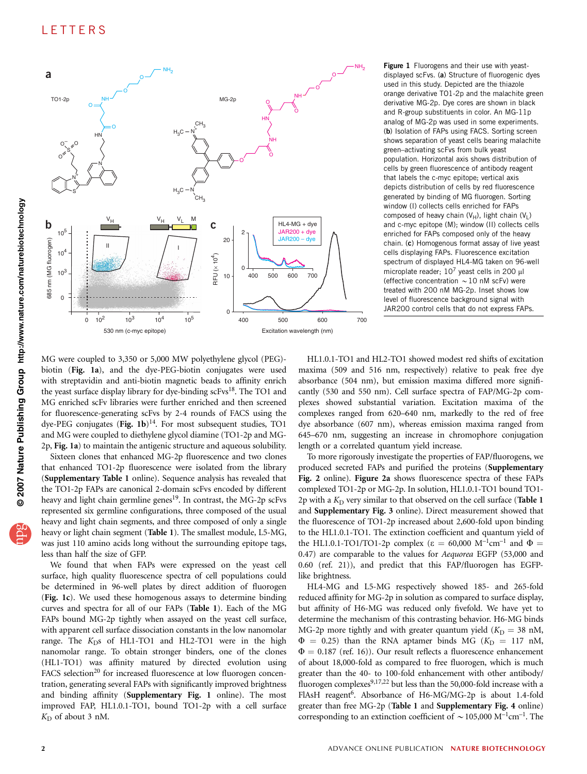

Figure 1 Fluorogens and their use with yeastdisplayed scFvs. (a) Structure of fluorogenic dyes used in this study. Depicted are the thiazole orange derivative TO1-2p and the malachite green derivative MG-2p. Dye cores are shown in black and R-group substituents in color. An MG-11p analog of MG-2p was used in some experiments. (b) Isolation of FAPs using FACS. Sorting screen shows separation of yeast cells bearing malachite green–activating scFvs from bulk yeast population. Horizontal axis shows distribution of cells by green fluorescence of antibody reagent that labels the c-myc epitope; vertical axis depicts distribution of cells by red fluorescence generated by binding of MG fluorogen. Sorting window (I) collects cells enriched for FAPs composed of heavy chain (VH), light chain (VL) and c-myc epitope (M); window (II) collects cells enriched for FAPs composed only of the heavy chain. (c) Homogenous format assay of live yeast cells displaying FAPs. Fluorescence excitation spectrum of displayed HL4-MG taken on 96-well microplate reader;  $10^7$  yeast cells in 200  $\mu$ l (effective concentration  $\sim$  10 nM scFv) were treated with 200 nM MG-2p. Inset shows low level of fluorescence background signal with JAR200 control cells that do not express FAPs.

MG were coupled to 3,350 or 5,000 MW polyethylene glycol (PEG) biotin (Fig. 1a), and the dye-PEG-biotin conjugates were used with streptavidin and anti-biotin magnetic beads to affinity enrich the yeast surface display library for dye-binding  $\text{scFvs}^{18}$ . The TO1 and MG enriched scFv libraries were further enriched and then screened for fluorescence-generating scFvs by 2-4 rounds of FACS using the dye-PEG conjugates (Fig. 1b) $^{14}$  $^{14}$  $^{14}$ . For most subsequent studies, TO1 and MG were coupled to diethylene glycol diamine (TO1-2p and MG-2p, Fig. 1a) to maintain the antigenic structure and aqueous solubility.

Sixteen clones that enhanced MG-2p fluorescence and two clones that enhanced TO1-2p fluorescence were isolated from the library (Supplementary Table 1 online). Sequence analysis has revealed that the TO1-2p FAPs are canonical 2-domain scFvs encoded by different heavy and light chain germline genes<sup>19</sup>. In contrast, the MG-2p scFvs represented six germline configurations, three composed of the usual heavy and light chain segments, and three composed of only a single heavy or light chain segment (Table 1). The smallest module, L5-MG, was just 110 amino acids long without the surrounding epitope tags, less than half the size of GFP.

We found that when FAPs were expressed on the yeast cell surface, high quality fluorescence spectra of cell populations could be determined in 96-well plates by direct addition of fluorogen (Fig. 1c). We used these homogenous assays to determine binding curves and spectra for all of our FAPs (Table 1). Each of the MG FAPs bound MG-2p tightly when assayed on the yeast cell surface, with apparent cell surface dissociation constants in the low nanomolar range. The  $K<sub>D</sub>$ s of HL1-TO1 and HL2-TO1 were in the high nanomolar range. To obtain stronger binders, one of the clones (HL1-TO1) was affinity matured by directed evolution using FACS selection<sup>[20](#page-5-0)</sup> for increased fluorescence at low fluorogen concentration, generating several FAPs with significantly improved brightness and binding affinity (Supplementary Fig. 1 online). The most improved FAP, HL1.0.1-TO1, bound TO1-2p with a cell surface  $K_D$  of about 3 nM.

HL1.0.1-TO1 and HL2-TO1 showed modest red shifts of excitation maxima (509 and 516 nm, respectively) relative to peak free dye absorbance (504 nm), but emission maxima differed more significantly (530 and 550 nm). Cell surface spectra of FAP/MG-2p complexes showed substantial variation. Excitation maxima of the complexes ranged from 620–640 nm, markedly to the red of free dye absorbance (607 nm), whereas emission maxima ranged from 645–670 nm, suggesting an increase in chromophore conjugation length or a correlated quantum yield increase.

To more rigorously investigate the properties of FAP/fluorogens, we produced secreted FAPs and purified the proteins (Supplementary Fig. 2 online). Figure 2a shows fluorescence spectra of these FAPs complexed TO1-2p or MG-2p. In solution, HL1.0.1-TO1 bound TO1- 2p with a  $K_D$  very similar to that observed on the cell surface (Table 1 and Supplementary Fig. 3 online). Direct measurement showed that the fluorescence of TO1-2p increased about 2,600-fold upon binding to the HL1.0.1-TO1. The extinction coefficient and quantum yield of the HL1.0.1-TO1/TO1-2p complex ( $\varepsilon = 60,000 \, \text{M}^{-1} \text{cm}^{-1}$  and  $\Phi =$ 0.47) are comparable to the values for Aequorea EGFP (53,000 and 0.60 (ref. 21)), and predict that this FAP/fluorogen has EGFPlike brightness.

HL4-MG and L5-MG respectively showed 185- and 265-fold reduced affinity for MG-2p in solution as compared to surface display, but affinity of H6-MG was reduced only fivefold. We have yet to determine the mechanism of this contrasting behavior. H6-MG binds MG-2p more tightly and with greater quantum yield ( $K<sub>D</sub> = 38$  nM,  $\Phi = 0.25$ ) than the RNA aptamer binds MG ( $K_D = 117$  nM,  $\Phi = 0.187$  (ref. 16)). Our result reflects a fluorescence enhancement of about 18,000-fold as compared to free fluorogen, which is much greater than the 40- to 100-fold enhancement with other antibody/ fluorogen complexes<sup>9,17,22</sup> but less than the 50,000-fold increase with a FlAsH reagent<sup>6</sup>. Absorbance of H6-MG/MG-2p is about 1.4-fold greater than free MG-2p (Table 1 and Supplementary Fig. 4 online) corresponding to an extinction coefficient of  $\sim$  105,000 M<sup>-1</sup>cm<sup>-1</sup>. The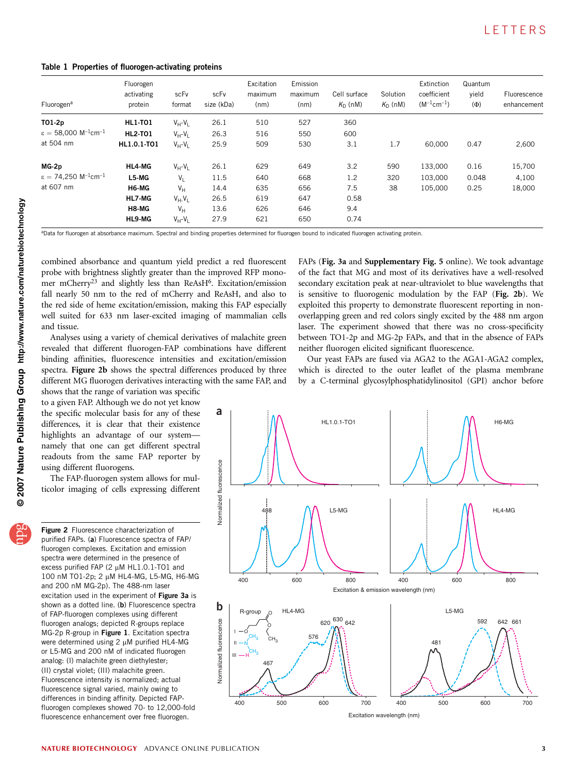Table 1 Properties of fluorogen-activating proteins

| Fluorogen <sup>a</sup>                                  | Fluorogen<br>activating<br>protein | scFv<br>format    | scFv<br>size (kDa) | Excitation<br>maximum<br>(nm) | Emission<br>maximum<br>(nm) | Cell surface<br>$K_{\cap}$ (nM) | Solution<br>$K_{\text{D}}$ (nM) | Extinction<br>coefficient<br>$(M^{-1}cm^{-1})$ | Quantum<br>vield<br>$(\Phi)$ | Fluorescence<br>enhancement |
|---------------------------------------------------------|------------------------------------|-------------------|--------------------|-------------------------------|-----------------------------|---------------------------------|---------------------------------|------------------------------------------------|------------------------------|-----------------------------|
| T01-2p                                                  | <b>HL1-T01</b>                     | $V_H - V_I$       | 26.1               | 510                           | 527                         | 360                             |                                 |                                                |                              |                             |
| $\varepsilon = 58,000$ M <sup>-1</sup> cm <sup>-1</sup> | <b>HL2-T01</b>                     | $V_H - V_I$       | 26.3               | 516                           | 550                         | 600                             |                                 |                                                |                              |                             |
| at 504 nm                                               | HL1.0.1-TO1                        | $V_H - V_I$       | 25.9               | 509                           | 530                         | 3.1                             | 1.7                             | 60.000                                         | 0.47                         | 2,600                       |
| MG-2p                                                   | HL4-MG                             | $V_H - V_H$       | 26.1               | 629                           | 649                         | 3.2                             | 590                             | 133,000                                        | 0.16                         | 15,700                      |
| $\varepsilon = 74,250$ M <sup>-1</sup> cm <sup>-1</sup> | L5-MG                              | V <sub>1</sub>    | 11.5               | 640                           | 668                         | 1.2                             | 320                             | 103.000                                        | 0.048                        | 4,100                       |
| at 607 nm                                               | H6-MG                              | $V_H$             | 14.4               | 635                           | 656                         | 7.5                             | 38                              | 105,000                                        | 0.25                         | 18,000                      |
|                                                         | HL7-MG                             | $V_{H}$ - $V_{I}$ | 26.5               | 619                           | 647                         | 0.58                            |                                 |                                                |                              |                             |
|                                                         | H8-MG                              | $V_H$             | 13.6               | 626                           | 646                         | 9.4                             |                                 |                                                |                              |                             |
|                                                         | HL9-MG                             | $V_{H} - V_{L}$   | 27.9               | 621                           | 650                         | 0.74                            |                                 |                                                |                              |                             |

aData for fluorogen at absorbance maximum. Spectral and binding properties determined for fluorogen bound to indicated fluorogen activating protein.

combined absorbance and quantum yield predict a red fluorescent probe with brightness slightly greater than the improved RFP monomer mCherry<sup>23</sup> and slightly less than ReAsH<sup>6</sup>. Excitation/emission fall nearly 50 nm to the red of mCherry and ReAsH, and also to the red side of heme excitation/emission, making this FAP especially well suited for 633 nm laser-excited imaging of mammalian cells and tissue.

Analyses using a variety of chemical derivatives of malachite green revealed that different fluorogen-FAP combinations have different binding affinities, fluorescence intensities and excitation/emission spectra. Figure 2b shows the spectral differences produced by three different MG fluorogen derivatives interacting with the same FAP, and

shows that the range of variation was specific to a given FAP. Although we do not yet know the specific molecular basis for any of these differences, it is clear that their existence highlights an advantage of our system namely that one can get different spectral readouts from the same FAP reporter by using different fluorogens.

The FAP-fluorogen system allows for multicolor imaging of cells expressing different

Figure 2 Fluorescence characterization of purified FAPs. (a) Fluorescence spectra of FAP/ fluorogen complexes. Excitation and emission spectra were determined in the presence of excess purified FAP (2  $\mu$ M HL1.0.1-TO1 and 100 nM TO1-2p; 2 μM HL4-MG, L5-MG, H6-MG and 200 nM MG-2p). The 488-nm laser excitation used in the experiment of Figure 3a is shown as a dotted line. (b) Fluorescence spectra of FAP-fluorogen complexes using different fluorogen analogs; depicted R-groups replace MG-2p R-group in Figure 1. Excitation spectra were determined using  $2 \mu$ M purified HL4-MG or L5-MG and 200 nM of indicated fluorogen analog: (I) malachite green diethylester; (II) crystal violet; (III) malachite green. Fluorescence intensity is normalized; actual fluorescence signal varied, mainly owing to differences in binding affinity. Depicted FAPfluorogen complexes showed 70- to 12,000-fold fluorescence enhancement over free fluorogen.

FAPs (Fig. 3a and Supplementary Fig. 5 online). We took advantage of the fact that MG and most of its derivatives have a well-resolved secondary excitation peak at near-ultraviolet to blue wavelengths that is sensitive to fluorogenic modulation by the FAP (Fig. 2b). We exploited this property to demonstrate fluorescent reporting in nonoverlapping green and red colors singly excited by the 488 nm argon laser. The experiment showed that there was no cross-specificity between TO1-2p and MG-2p FAPs, and that in the absence of FAPs neither fluorogen elicited significant fluorescence.

Our yeast FAPs are fused via AGA2 to the AGA1-AGA2 complex, which is directed to the outer leaflet of the plasma membrane by a C-terminal glycosylphosphatidylinositol (GPI) anchor before

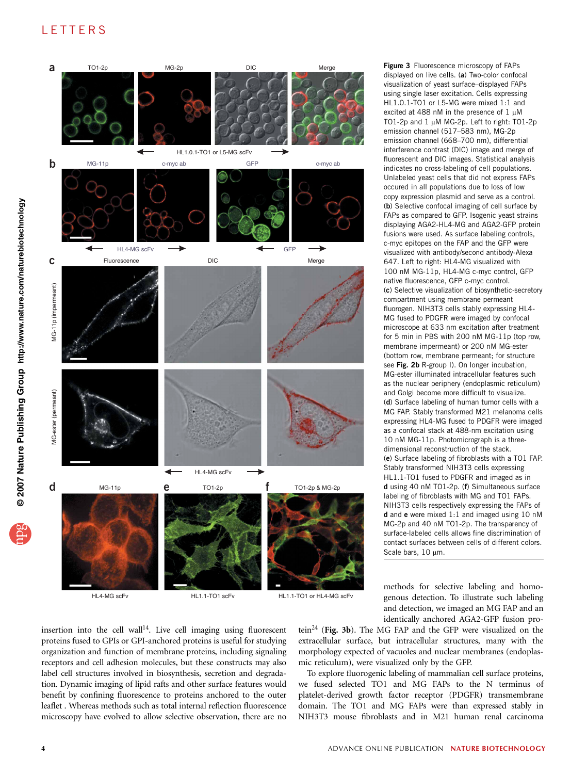## **LETTERS**



displayed on live cells. (a) Two-color confocal visualization of yeast surface–displayed FAPs using single laser excitation. Cells expressing HL1.0.1-TO1 or L5-MG were mixed 1:1 and excited at 488 nM in the presence of  $1 \mu$ M TO1-2p and 1 µM MG-2p. Left to right: TO1-2p emission channel (517–583 nm), MG-2p emission channel (668–700 nm), differential interference contrast (DIC) image and merge of fluorescent and DIC images. Statistical analysis indicates no cross-labeling of cell populations. Unlabeled yeast cells that did not express FAPs occured in all populations due to loss of low copy expression plasmid and serve as a control. (b) Selective confocal imaging of cell surface by FAPs as compared to GFP. Isogenic yeast strains displaying AGA2-HL4-MG and AGA2-GFP protein fusions were used. As surface labeling controls, c-myc epitopes on the FAP and the GFP were visualized with antibody/second antibody-Alexa 647. Left to right: HL4-MG visualized with 100 nM MG-11p, HL4-MG c-myc control, GFP native fluorescence, GFP c-myc control. (c) Selective visualization of biosynthetic-secretory compartment using membrane permeant fluorogen. NIH3T3 cells stably expressing HL4- MG fused to PDGFR were imaged by confocal microscope at 633 nm excitation after treatment for 5 min in PBS with 200 nM MG-11p (top row, membrane impermeant) or 200 nM MG-ester (bottom row, membrane permeant; for structure see Fig. 2b R-group I). On longer incubation, MG-ester illuminated intracellular features such as the nuclear periphery (endoplasmic reticulum) and Golgi become more difficult to visualize. (d) Surface labeling of human tumor cells with a MG FAP. Stably transformed M21 melanoma cells expressing HL4-MG fused to PDGFR were imaged as a confocal stack at 488-nm excitation using 10 nM MG-11p. Photomicrograph is a threedimensional reconstruction of the stack. (e) Surface labeling of fibroblasts with a TO1 FAP. Stably transformed NIH3T3 cells expressing HL1.1-TO1 fused to PDGFR and imaged as in d using 40 nM TO1-2p. (f) Simultaneous surface labeling of fibroblasts with MG and TO1 FAPs. NIH3T3 cells respectively expressing the FAPs of d and e were mixed 1:1 and imaged using 10 nM MG-2p and 40 nM TO1-2p. The transparency of surface-labeled cells allows fine discrimination of contact surfaces between cells of different colors. Scale bars,  $10 \mu m$ .

Figure 3 Fluorescence microscopy of FAPs

methods for selective labeling and homogenous detection. To illustrate such labeling and detection, we imaged an MG FAP and an identically anchored AGA2-GFP fusion pro-

insertion into the cell wall<sup>14</sup>. Live cell imaging using fluorescent proteins fused to GPIs or GPI-anchored proteins is useful for studying organization and function of membrane proteins, including signaling receptors and cell adhesion molecules, but these constructs may also label cell structures involved in biosynthesis, secretion and degradation. Dynamic imaging of lipid rafts and other surface features would benefit by confining fluorescence to proteins anchored to the outer leaflet . Whereas methods such as total internal reflection fluorescence microscopy have evolved to allow selective observation, there are no

tein<sup>24</sup> (Fig. 3b). The MG FAP and the GFP were visualized on the extracellular surface, but intracellular structures, many with the morphology expected of vacuoles and nuclear membranes (endoplasmic reticulum), were visualized only by the GFP.

To explore fluorogenic labeling of mammalian cell surface proteins, we fused selected TO1 and MG FAPs to the N terminus of platelet-derived growth factor receptor (PDGFR) transmembrane domain. The TO1 and MG FAPs were than expressed stably in NIH3T3 mouse fibroblasts and in M21 human renal carcinoma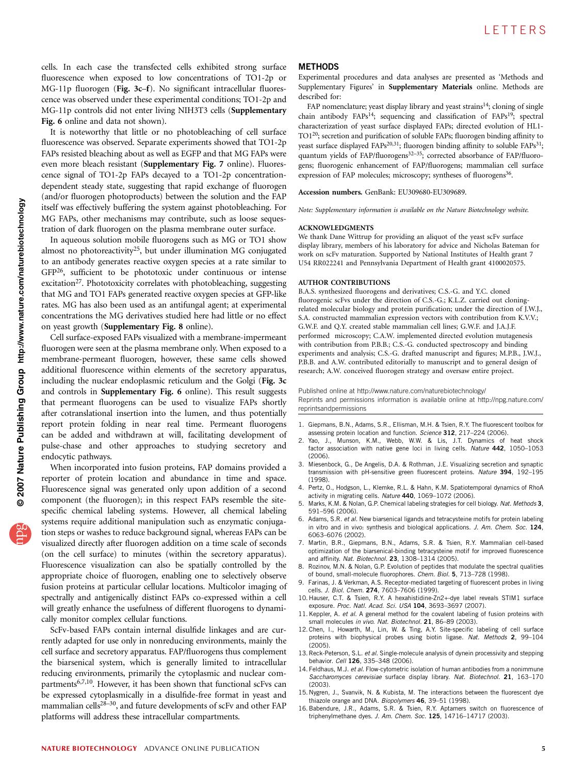<span id="page-4-0"></span>cells. In each case the transfected cells exhibited strong surface fluorescence when exposed to low concentrations of TO1-2p or MG-11p fluorogen (Fig. 3c–f). No significant intracellular fluorescence was observed under these experimental conditions; TO1-2p and MG-11p controls did not enter living NIH3T3 cells (Supplementary Fig. 6 online and data not shown).

It is noteworthy that little or no photobleaching of cell surface fluorescence was observed. Separate experiments showed that TO1-2p FAPs resisted bleaching about as well as EGFP and that MG FAPs were even more bleach resistant (Supplementary Fig. 7 online). Fluorescence signal of TO1-2p FAPs decayed to a TO1-2p concentrationdependent steady state, suggesting that rapid exchange of fluorogen (and/or fluorogen photoproducts) between the solution and the FAP itself was effectively buffering the system against photobleaching. For MG FAPs, other mechanisms may contribute, such as loose sequestration of dark fluorogen on the plasma membrane outer surface.

In aqueous solution mobile fluorogens such as MG or TO1 show almost no photoreactivity<sup>25</sup>, but under illumination MG conjugated to an antibody generates reactive oxygen species at a rate similar to GF[P26,](#page-5-0) sufficient to be phototoxic under continuous or intense excitation<sup>27</sup>. Phototoxicity correlates with photobleaching, suggesting that MG and TO1 FAPs generated reactive oxygen species at GFP-like rates. MG has also been used as an antifungal agent; at experimental concentrations the MG derivatives studied here had little or no effect on yeast growth (Supplementary Fig. 8 online).

Cell surface-exposed FAPs visualized with a membrane-impermeant fluorogen were seen at the plasma membrane only. When exposed to a membrane-permeant fluorogen, however, these same cells showed additional fluorescence within elements of the secretory apparatus, including the nuclear endoplasmic reticulum and the Golgi (Fig. 3c and controls in Supplementary Fig. 6 online). This result suggests that permeant fluorogens can be used to visualize FAPs shortly after cotranslational insertion into the lumen, and thus potentially report protein folding in near real time. Permeant fluorogens can be added and withdrawn at will, facilitating development of pulse-chase and other approaches to studying secretory and endocytic pathways.

When incorporated into fusion proteins, FAP domains provided a reporter of protein location and abundance in time and space. Fluorescence signal was generated only upon addition of a second component (the fluorogen); in this respect FAPs resemble the sitespecific chemical labeling systems. However, all chemical labeling systems require additional manipulation such as enzymatic conjugation steps or washes to reduce background signal, whereas FAPs can be visualized directly after fluorogen addition on a time scale of seconds (on the cell surface) to minutes (within the secretory apparatus). Fluorescence visualization can also be spatially controlled by the appropriate choice of fluorogen, enabling one to selectively observe fusion proteins at particular cellular locations. Multicolor imaging of spectrally and antigenically distinct FAPs co-expressed within a cell will greatly enhance the usefulness of different fluorogens to dynamically monitor complex cellular functions.

ScFv-based FAPs contain internal disulfide linkages and are currently adapted for use only in nonreducing environments, mainly the cell surface and secretory apparatus. FAP/fluorogens thus complement the biarsenical system, which is generally limited to intracellular reducing environments, primarily the cytoplasmic and nuclear compartments<sup>6,7,10</sup>. However, it has been shown that functional scFvs can be expressed cytoplasmically in a disulfide-free format in yeast and mammalian cells<sup>28-30</sup>, and future developments of scFv and other FAP platforms will address these intracellular compartments.

### **METHODS**

Experimental procedures and data analyses are presented as 'Methods and Supplementary Figures' in Supplementary Materials online. Methods are described for:

FAP nomenclature; yeast display library and yeast strains<sup>14</sup>; cloning of single chain antibody  $FAPs^{14}$ ; sequencing and classification of  $FAPs^{19}$ ; spectral characterization of yeast surface displayed FAPs; directed evolution of HL1- TO[120;](#page-5-0) secretion and purification of soluble FAPs; fluorogen binding affinity to yeast surface displayed  $FAPs^{20,31}$ ; fluorogen binding affinity to soluble  $FAPs^{31}$ ; quantum yields of FAP/fluorogens<sup>32-35</sup>; corrected absorbance of FAP/fluorogens; fluorogenic enhancement of FAP/fluorogens; mammalian cell surface expression of FAP molecules; microscopy; syntheses of fluorogens<sup>[36](#page-5-0)</sup>.

Accession numbers. GenBank: EU309680-EU309689.

Note: Supplementary information is available on the [Nature Biotechnology](http://www.nature.com/naturebiotechnology) website.

#### ACKNOWLEDGMENTS

We thank Dane Wittrup for providing an aliquot of the yeast scFv surface display library, members of his laboratory for advice and Nicholas Bateman for work on scFv maturation. Supported by National Institutes of Health grant 7 U54 RR022241 and Pennsylvania Department of Health grant 4100020575.

## AUTHOR CONTRIBUTIONS

B.A.S. synthesized fluorogens and derivatives; C.S.-G. and Y.C. cloned fluorogenic scFvs under the direction of C.S.-G.; K.L.Z. carried out cloningrelated molecular biology and protein purification; under the direction of J.W.J., S.A. constructed mammalian expression vectors with contribution from K.V.V.; G.W.F. and Q.Y. created stable mammalian cell lines; G.W.F. and J.A.J.F. performed microscopy; C.A.W. implemented directed evolution mutagenesis with contribution from P.B.B.; C.S.-G. conducted spectroscopy and binding experiments and analysis; C.S.-G. drafted manuscript and figures; M.P.B., J.W.J., P.B.B. and A.W. contributed editorially to manuscript and to general design of research; A.W. conceived fluorogen strategy and oversaw entire project.

Published online at [http://www.nature.com/naturebiotechnology/](http://www.nature.com/naturebiotechnology) Reprints and permissions information is available online at [http://npg.nature.com/](http://npg.nature.com/reprintsandpermissions) [reprintsandpermissions](http://npg.nature.com/reprintsandpermissions)

- 1. Giepmans, B.N., Adams, S.R., Ellisman, M.H. & Tsien, R.Y. The fluorescent toolbox for assessing protein location and function. Science 312, 217-224 (2006).
- 2. Yao, J., Munson, K.M., Webb, W.W. & Lis, J.T. Dynamics of heat shock factor association with native gene loci in living cells. Nature 442, 1050–1053 (2006).
- 3. Miesenbock, G., De Angelis, D.A. & Rothman, J.E. Visualizing secretion and synaptic transmission with pH-sensitive green fluorescent proteins. Nature 394, 192–195 (1998).
- 4. Pertz, O., Hodgson, L., Klemke, R.L. & Hahn, K.M. Spatiotemporal dynamics of RhoA activity in migrating cells. Nature 440, 1069–1072 (2006).
- Marks, K.M. & Nolan, G.P. Chemical labeling strategies for cell biology. Nat. Methods 3, 591–596 (2006).
- 6. Adams, S.R. et al. New biarsenical ligands and tetracysteine motifs for protein labeling in vitro and in vivo: synthesis and biological applications. J. Am. Chem. Soc. 124, 6063–6076 (2002).
- 7. Martin, B.R., Giepmans, B.N., Adams, S.R. & Tsien, R.Y. Mammalian cell-based optimization of the biarsenical-binding tetracysteine motif for improved fluorescence and affinity. Nat. Biotechnol. 23, 1308-1314 (2005).
- 8. Rozinov, M.N. & Nolan, G.P. Evolution of peptides that modulate the spectral qualities of bound, small-molecule fluorophores. Chem. Biol. 5, 713-728 (1998).
- 9. Farinas, J. & Verkman, A.S. Receptor-mediated targeting of fluorescent probes in living cells. J. Biol. Chem. 274, 7603–7606 (1999).
- 10. Hauser, C.T. & Tsien, R.Y. A hexahistidine-Zn2+-dye label reveals STIM1 surface exposure. Proc. Natl. Acad. Sci. USA 104, 3693–3697 (2007).
- 11. Keppler, A. et al. A general method for the covalent labeling of fusion proteins with small molecules in vivo. Nat. Biotechnol. 21, 86-89 (2003).
- 12. Chen, I., Howarth, M., Lin, W. & Ting, A.Y. Site-specific labeling of cell surface proteins with biophysical probes using biotin ligase. Nat. Methods 2, 99–104 (2005).
- 13. Reck-Peterson, S.L. et al. Single-molecule analysis of dynein processivity and stepping behavior. Cell 126, 335-348 (2006).
- 14. Feldhaus, M.J. et al. Flow-cytometric isolation of human antibodies from a nonimmune Saccharomyces cerevisiae surface display library. Nat. Biotechnol. 21, 163-170 (2003).
- 15. Nygren, J., Svanvik, N. & Kubista, M. The interactions between the fluorescent dye thiazole orange and DNA. Biopolymers 46, 39-51 (1998).
- 16. Babendure, J.R., Adams, S.R. & Tsien, R.Y. Aptamers switch on fluorescence of triphenylmethane dyes. J. Am. Chem. Soc. 125, 14716-14717 (2003).